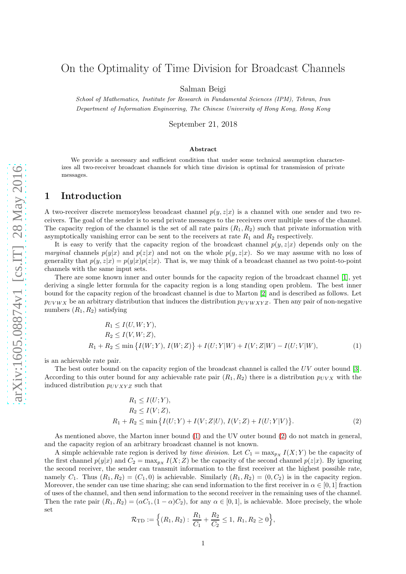# On the Optimality of Time Division for Broadcast Channels

Salman Beigi

School of Mathematics, Institute for Research in Fundamental Sciences (IPM), Tehran, Iran Department of Information Engineering, The Chinese University of Hong Kong, Hong Kong

September 21, 2018

#### Abstract

We provide a necessary and sufficient condition that under some technical assumption characterizes all two-receiver broadcast channels for which time division is optimal for transmission of private messages.

# 1 Introduction

A two-receiver discrete memoryless broadcast channel  $p(y, z|x)$  is a channel with one sender and two receivers. The goal of the sender is to send private messages to the receivers over multiple uses of the channel. The capacity region of the channel is the set of all rate pairs  $(R_1, R_2)$  such that private information with asymptotically vanishing error can be sent to the receivers at rate  $R_1$  and  $R_2$  respectively.

It is easy to verify that the capacity region of the broadcast channel  $p(y, z|x)$  depends only on the *marginal* channels  $p(y|x)$  and  $p(z|x)$  and not on the whole  $p(y, z|x)$ . So we may assume with no loss of generality that  $p(y, z|x) = p(y|x)p(z|x)$ . That is, we may think of a broadcast channel as two point-to-point channels with the same input sets.

There are some known inner and outer bounds for the capacity region of the broadcast channel [\[1\]](#page-6-0), yet deriving a single letter formula for the capacity region is a long standing open problem. The best inner bound for the capacity region of the broadcast channel is due to Marton [\[2\]](#page-6-1) and is described as follows. Let  $p_{UVWX}$  be an arbitrary distribution that induces the distribution  $p_{UVWXYZ}$ . Then any pair of non-negative numbers  $(R_1, R_2)$  satisfying

$$
R_1 \le I(U, W; Y),
$$
  
\n
$$
R_2 \le I(V, W; Z),
$$
  
\n
$$
R_1 + R_2 \le \min \{ I(W; Y), I(W; Z) \} + I(U; Y|W) + I(V; Z|W) - I(U; V|W),
$$
\n(1)

is an achievable rate pair.

The best outer bound on the capacity region of the broadcast channel is called the UV outer bound [\[3\]](#page-6-2). According to this outer bound for any achievable rate pair  $(R_1, R_2)$  there is a distribution  $p_{UVX}$  with the induced distribution  $p_{UVXYZ}$  such that

<span id="page-0-1"></span><span id="page-0-0"></span>
$$
R_1 \le I(U;Y),
$$
  
\n
$$
R_2 \le I(V;Z),
$$
  
\n
$$
R_1 + R_2 \le \min \{ I(U;Y) + I(V;Z|U), I(V;Z) + I(U;Y|V) \}.
$$
\n(2)

As mentioned above, the Marton inner bound [\(1\)](#page-0-0) and the UV outer bound [\(2\)](#page-0-1) do not match in general, and the capacity region of an arbitrary broadcast channel is not known.

A simple achievable rate region is derived by *time division*. Let  $C_1 = \max_{p_X} I(X;Y)$  be the capacity of the first channel  $p(y|x)$  and  $C_2 = \max_{p_X} I(X; Z)$  be the capacity of the second channel  $p(z|x)$ . By ignoring the second receiver, the sender can transmit information to the first receiver at the highest possible rate, namely  $C_1$ . Thus  $(R_1, R_2) = (C_1, 0)$  is achievable. Similarly  $(R_1, R_2) = (0, C_2)$  is in the capacity region. Moreover, the sender can use time sharing; she can send information to the first receiver in  $\alpha \in [0,1]$  fraction of uses of the channel, and then send information to the second receiver in the remaining uses of the channel. Then the rate pair  $(R_1, R_2) = (\alpha C_1, (1 - \alpha) C_2)$ , for any  $\alpha \in [0, 1]$ , is achievable. More precisely, the whole set

$$
\mathcal{R}_{\text{TD}} := \left\{ (R_1, R_2) : \frac{R_1}{C_1} + \frac{R_2}{C_2} \le 1, R_1, R_2 \ge 0 \right\},\
$$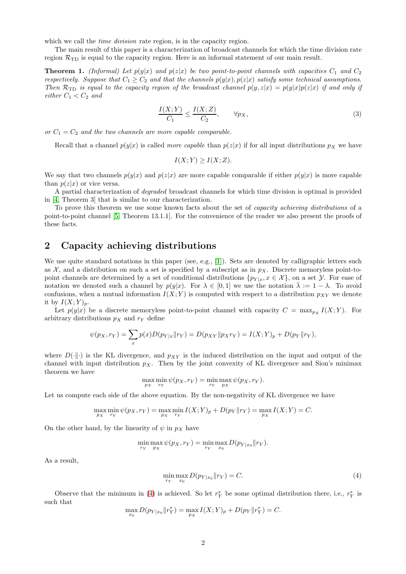which we call the *time division* rate region, is in the capacity region.

The main result of this paper is a characterization of broadcast channels for which the time division rate region  $\mathcal{R}_{\text{TD}}$  is equal to the capacity region. Here is an informal statement of our main result.

**Theorem 1.** (Informal) Let  $p(y|x)$  and  $p(z|x)$  be two point-to-point channels with capacities  $C_1$  and  $C_2$ respectively. Suppose that  $C_1 \geq C_2$  and that the channels  $p(y|x), p(z|x)$  satisfy some technical assumptions. Then  $\mathcal{R}_{\text{TD}}$  is equal to the capacity region of the broadcast channel  $p(y, z|x) = p(y|x)p(z|x)$  if and only if either  $C_1 < C_2$  and

$$
\frac{I(X;Y)}{C_1} \le \frac{I(X;Z)}{C_2}, \qquad \forall p_X,
$$
\n
$$
(3)
$$

or  $C_1 = C_2$  and the two channels are more capable comparable.

Recall that a channel  $p(y|x)$  is called *more capable* than  $p(z|x)$  if for all input distributions  $p<sub>X</sub>$  we have

$$
I(X;Y) \ge I(X;Z).
$$

We say that two channels  $p(y|x)$  and  $p(z|x)$  are more capable comparable if either  $p(y|x)$  is more capable than  $p(z|x)$  or vice versa.

A partial characterization of degraded broadcast channels for which time division is optimal is provided in [\[4,](#page-6-3) Theorem 3] that is similar to our characterization.

To prove this theorem we use some known facts about the set of capacity achieving distributions of a point-to-point channel [\[5,](#page-6-4) Theorem 13.1.1]. For the convenience of the reader we also present the proofs of these facts.

### 2 Capacity achieving distributions

We use quite standard notations in this paper (see, e.g., [\[1\]](#page-6-0)). Sets are denoted by calligraphic letters such as X, and a distribution on such a set is specified by a subscript as in  $p<sub>X</sub>$ . Discrete memoryless point-topoint channels are determined by a set of conditional distributions  $\{p_{Y|x}, x \in \mathcal{X}\}\)$ , on a set  $\mathcal{Y}$ . For ease of notation we denoted such a channel by  $p(y|x)$ . For  $\lambda \in [0,1]$  we use the notation  $\lambda := 1 - \lambda$ . To avoid confusions, when a mutual information  $I(X; Y)$  is computed with respect to a distribution  $p_{XY}$  we denote it by  $I(X;Y)_p$ .

Let  $p(y|x)$  be a discrete memoryless point-to-point channel with capacity  $C = \max_{p_X} I(X; Y)$ . For arbitrary distributions  $p_X$  and  $r_Y$  define

$$
\psi(p_X, r_Y) = \sum_{x} p(x) D(p_{Y|x} || r_Y) = D(p_{XY} || p_X r_Y) = I(X;Y)_p + D(p_Y || r_Y),
$$

where  $D(\cdot|\cdot)$  is the KL divergence, and  $p_{XY}$  is the induced distribution on the input and output of the channel with input distribution  $p_X$ . Then by the joint convexity of KL divergence and Sion's minimax theorem we have

$$
\max_{p_X} \min_{r_Y} \psi(p_X, r_Y) = \min_{r_Y} \max_{p_X} \psi(p_X, r_Y).
$$

Let us compute each side of the above equation. By the non-negativity of KL divergence we have

$$
\max_{p_X} \min_{r_Y} \psi(p_X, r_Y) = \max_{p_X} \min_{r_Y} I(X;Y)_p + D(p_Y \| r_Y) = \max_{p_X} I(X;Y) = C.
$$

On the other hand, by the linearity of  $\psi$  in  $p<sub>X</sub>$  have

$$
\min_{r_Y} \max_{p_X} \psi(p_X, r_Y) = \min_{r_Y} \max_{x_0} D(p_{Y|x_0} || r_Y).
$$

As a result,

<span id="page-1-0"></span>
$$
\min_{r_Y} \max_{x_0} D(p_{Y|x_0} \| r_Y) = C.
$$
\n(4)

Observe that the minimum in [\(4\)](#page-1-0) is achieved. So let  $r_Y^*$  be some optimal distribution there, i.e.,  $r_Y^*$  is such that

$$
\max_{x_0} D(p_{Y|x_0}||r_Y^*) = \max_{p_X} I(X;Y)_p + D(p_Y||r_Y^*) = C.
$$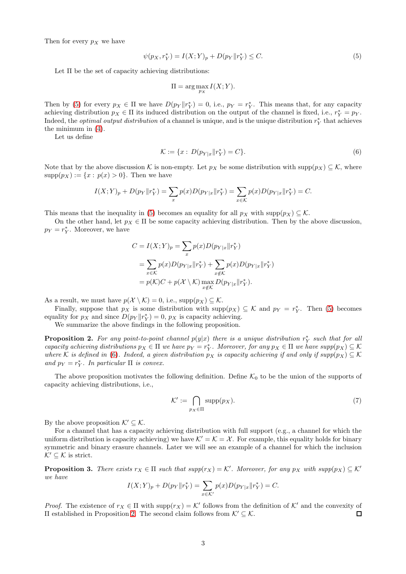Then for every  $p_X$  we have

$$
\psi(p_X, r_Y^*) = I(X; Y)_p + D(p_Y \| r_Y^*) \le C. \tag{5}
$$

Let Π be the set of capacity achieving distributions:

<span id="page-2-1"></span><span id="page-2-0"></span>
$$
\Pi = \arg \max_{p_X} I(X;Y).
$$

Then by [\(5\)](#page-2-0) for every  $p_X \in \Pi$  we have  $D(p_Y || r_Y^*) = 0$ , i.e.,  $p_Y = r_Y^*$ . This means that, for any capacity achieving distribution  $p_X \in \Pi$  its induced distribution on the output of the channel is fixed, i.e.,  $r_Y^* = p_Y$ . Indeed, the *optimal output distribution* of a channel is unique, and is the unique distribution  $r_Y^*$  that achieves the minimum in [\(4\)](#page-1-0).

Let us define

$$
\mathcal{K} := \{ x : D(p_{Y|x} \| r_Y^*) = C \}.
$$
\n(6)

Note that by the above discussion K is non-empty. Let  $p_X$  be some distribution with supp $(p_X) \subseteq \mathcal{K}$ , where  $supp(p_X) := \{x : p(x) > 0\}.$  Then we have

$$
I(X;Y)_p + D(p_Y || r_Y^*) = \sum_x p(x)D(p_{Y|x} || r_Y^*) = \sum_{x \in \mathcal{K}} p(x)D(p_{Y|x} || r_Y^*) = C.
$$

This means that the inequality in [\(5\)](#page-2-0) becomes an equality for all  $p_X$  with  $supp(p_X) \subseteq \mathcal{K}$ .

On the other hand, let  $p_X \in \Pi$  be some capacity achieving distribution. Then by the above discussion,  $p_Y = r_Y^*$ . Moreover, we have

$$
C = I(X;Y)_p = \sum_{x} p(x)D(p_{Y|x}||r_Y^*)
$$
  
= 
$$
\sum_{x \in K} p(x)D(p_{Y|x}||r_Y^*) + \sum_{x \notin K} p(x)D(p_{Y|x}||r_Y^*)
$$
  
= 
$$
p(K)C + p(X \setminus K) \max_{x \notin K} D(p_{Y|x}||r_Y^*).
$$

As a result, we must have  $p(\mathcal{X} \setminus \mathcal{K}) = 0$ , i.e.,  $\text{supp}(p_X) \subseteq \mathcal{K}$ .

Finally, suppose that  $p_X$  is some distribution with  $\text{supp}(p_X) \subseteq \mathcal{K}$  and  $p_Y = r_Y^*$ . Then [\(5\)](#page-2-0) becomes equality for  $p_X$  and since  $D(p_Y || r_Y^*) = 0$ ,  $p_X$  is capacity achieving.

We summarize the above findings in the following proposition.

<span id="page-2-2"></span>**Proposition 2.** For any point-to-point channel  $p(y|x)$  there is a unique distribution  $r_Y^*$  such that for all capacity achieving distributions  $p_X \in \Pi$  we have  $p_Y = r_Y^*$ . Moreover, for any  $p_X \in \Pi$  we have  $supp(p_X) \subseteq K$ where K is defined in [\(6\)](#page-2-1). Indeed, a given distribution  $p_X$  is capacity achieving if and only if supp $(p_X) \subseteq K$ and  $p_Y = r_Y^*$ . In particular  $\Pi$  is convex.

The above proposition motivates the following definition. Define  $K_0$  to be the union of the supports of capacity achieving distributions, i.e.,

<span id="page-2-3"></span>
$$
\mathcal{K}' := \bigcap_{p_X \in \Pi} \text{supp}(p_X). \tag{7}
$$

By the above proposition  $\mathcal{K}' \subset \mathcal{K}$ .

For a channel that has a capacity achieving distribution with full support (e.g., a channel for which the uniform distribution is capacity achieving) we have  $K' = K = \mathcal{X}$ . For example, this equality holds for binary symmetric and binary erasure channels. Later we will see an example of a channel for which the inclusion  $\mathcal{K}' \subseteq \mathcal{K}$  is strict.

<span id="page-2-4"></span>**Proposition 3.** There exists  $r_X \in \Pi$  such that  $supp(r_X) = K'$ . Moreover, for any  $p_X$  with  $supp(p_X) \subseteq K'$ we have

$$
I(X;Y)_p + D(p_Y \| r_Y^*) = \sum_{x \in K'} p(x)D(p_{Y|x} \| r_Y^*) = C.
$$

*Proof.* The existence of  $r_X \in \Pi$  with  $\text{supp}(r_X) = \mathcal{K}'$  follows from the definition of  $\mathcal{K}'$  and the convexity of Π established in Proposition [2.](#page-2-2) The second claim follows from K′ ⊆ K. П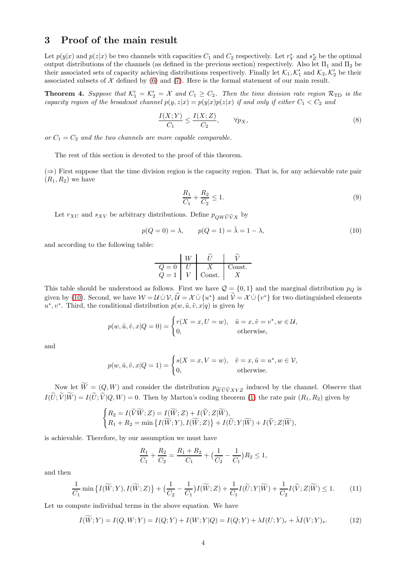# 3 Proof of the main result

Let  $p(y|x)$  and  $p(z|x)$  be two channels with capacities  $C_1$  and  $C_2$  respectively. Let  $r_Y^*$  and  $s_Z^*$  be the optimal output distributions of the channels (as defined in the previous section) respectively. Also let  $\Pi_1$  and  $\Pi_2$  be their associated sets of capacity achieving distributions respectively. Finally let  $\mathcal{K}_1, \mathcal{K}_1'$  and  $\mathcal{K}_2, \mathcal{K}_2'$  be their associated subsets of  $\mathcal X$  defined by [\(6\)](#page-2-1) and [\(7\)](#page-2-3). Here is the formal statement of our main result.

<span id="page-3-4"></span>**Theorem 4.** Suppose that  $K'_1 = K'_2 = X$  and  $C_1 \ge C_2$ . Then the time division rate region  $\mathcal{R}_{\text{TD}}$  is the capacity region of the broadcast channel  $p(y, z|x) = p(y|x)p(z|x)$  if and only if either  $C_1 < C_2$  and

$$
\frac{I(X;Y)}{C_1} \le \frac{I(X;Z)}{C_2}, \qquad \forall p_X,
$$
\n<sup>(8)</sup>

or  $C_1 = C_2$  and the two channels are more capable comparable.

The rest of this section is devoted to the proof of this theorem.

(⇒) First suppose that the time division region is the capacity region. That is, for any achievable rate pair  $(R_1, R_2)$  we have

<span id="page-3-3"></span><span id="page-3-0"></span>
$$
\frac{R_1}{C_1} + \frac{R_2}{C_2} \le 1.
$$
\n(9)

Let  $r_{XU}$  and  $s_{XV}$  be arbitrary distributions. Define  $p_{QW\widetilde{U}\widetilde{V}X}$  by

$$
p(Q = 0) = \lambda,
$$
  $p(Q = 1) = \bar{\lambda} = 1 - \lambda,$  (10)

and according to the following table:

$$
\begin{array}{c|c|c}\n & W & \tilde{U} & \tilde{V} \\
\hline\nQ = 0 & U & X & \text{Const.} \\
Q = 1 & V & \text{Const.} & X\n\end{array}
$$

This table should be understood as follows. First we have  $\mathcal{Q} = \{0, 1\}$  and the marginal distribution  $p_Q$  is given by [\(10\)](#page-3-0). Second, we have  $W = U \cup V$ ,  $U = X \cup \{u^*\}$  and  $V = X \cup \{v^*\}$  for two distinguished elements  $u^*, v^*$ . Third, the conditional distribution  $p(w, \tilde{u}, \tilde{v}, x | q)$  is given by

$$
p(w, \tilde{u}, \tilde{v}, x | Q = 0) = \begin{cases} r(X = x, U = w), & \tilde{u} = x, \tilde{v} = v^*, w \in \mathcal{U}, \\ 0, & \text{otherwise}, \end{cases}
$$

and

$$
p(w, \tilde{u}, \tilde{v}, x | Q = 1) = \begin{cases} s(X = x, V = w), & \tilde{v} = x, \tilde{u} = u^*, w \in \mathcal{V}, \\ 0, & \text{otherwise.} \end{cases}
$$

Now let  $W = (Q, W)$  and consider the distribution  $p_{\widetilde{W}\widetilde{U}YXYZ}$  induced by the channel. Observe that  $I(U;V|W) = I(U;V|Q,W) = 0$ . Then by Marton's coding theorem [\(1\)](#page-0-0) the rate pair  $(R_1, R_2)$  given by

$$
\begin{cases} R_2=I(\widetilde{V}\widetilde{W};Z)=I(\widetilde{W};Z)+I(\widetilde{V};Z|\widetilde{W}),\\ R_1+R_2=\min\big\{I(\widetilde{W};Y),I(\widetilde{W};Z)\big\}+I(\widetilde{U};Y|\widetilde{W})+I(\widetilde{V};Z|\widetilde{W}), \end{cases}
$$

is achievable. Therefore, by our assumption we must have

<span id="page-3-2"></span><span id="page-3-1"></span>
$$
\frac{R_1}{C_1} + \frac{R_2}{C_2} = \frac{R_1 + R_2}{C_1} + \left(\frac{1}{C_2} - \frac{1}{C_1}\right)R_2 \le 1,
$$

and then

$$
\frac{1}{C_1}\min\left\{I(\widetilde{W};Y),I(\widetilde{W};Z)\right\} + \left(\frac{1}{C_2} - \frac{1}{C_1}\right)I(\widetilde{W};Z) + \frac{1}{C_1}I(\widetilde{U};Y|\widetilde{W}) + \frac{1}{C_2}I(\widetilde{V};Z|\widetilde{W}) \le 1.
$$
 (11)

Let us compute individual terms in the above equation. We have

$$
I(\widetilde{W};Y) = I(Q,W;Y) = I(Q;Y) + I(W;Y|Q) = I(Q;Y) + \lambda I(U;Y)_r + \overline{\lambda}I(V;Y)_s.
$$
\n(12)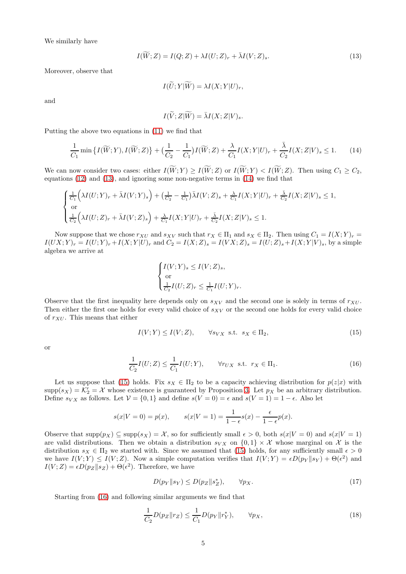We similarly have

$$
I(\widetilde{W};Z) = I(Q;Z) + \lambda I(U;Z)_r + \overline{\lambda}I(V;Z)_s.
$$
\n(13)

Moreover, observe that

<span id="page-4-0"></span>
$$
I(\widetilde{U};Y|\widetilde{W})=\lambda I(X;Y|U)_r,
$$

and

<span id="page-4-1"></span>
$$
I(\widetilde{V};Z|\widetilde{W}) = \overline{\lambda}I(X;Z|V)_{s}.
$$

Putting the above two equations in [\(11\)](#page-3-1) we find that

$$
\frac{1}{C_1}\min\left\{I(\widetilde{W};Y),I(\widetilde{W};Z)\right\} + \left(\frac{1}{C_2} - \frac{1}{C_1}\right)I(\widetilde{W};Z) + \frac{\lambda}{C_1}I(X;Y|U)_r + \frac{\overline{\lambda}}{C_2}I(X;Z|V)_s \le 1.
$$
 (14)

We can now consider two cases: either  $I(\widetilde{W}; Y) \geq I(\widetilde{W}; Z)$  or  $I(\widetilde{W}; Y) < I(\widetilde{W}; Z)$ . Then using  $C_1 \geq C_2$ , equations [\(12\)](#page-3-2) and [\(13\)](#page-4-0), and ignoring some non-negative terms in [\(14\)](#page-4-1) we find that

$$
\begin{cases} \frac{1}{C_1} \Big( \lambda I(U;Y)_r + \bar{\lambda} I(V;Y)_s \Big) + \Big( \frac{1}{C_2} - \frac{1}{C_1} \Big) \bar{\lambda} I(V;Z)_s + \frac{\lambda}{C_1} I(X;Y|U)_r + \frac{\bar{\lambda}}{C_2} I(X;Z|V)_s \le 1, \\ \text{or} \\ \frac{1}{C_2} \Big( \lambda I(U;Z)_r + \bar{\lambda} I(V;Z)_s \Big) + \frac{\lambda}{C_1} I(X;Y|U)_r + \frac{\bar{\lambda}}{C_2} I(X;Z|V)_s \le 1. \end{cases}
$$

Now suppose that we chose  $r_{XU}$  and  $s_{XV}$  such that  $r_X \in \Pi_1$  and  $s_X \in \Pi_2$ . Then using  $C_1 = I(X;Y)_r =$  $I(UX; Y)_r = I(U; Y)_r + I(X; Y|U)_r$  and  $C_2 = I(X; Z)_s = I(VX; Z)_s = I(U; Z)_s + I(X; Y|V)_s$ , by a simple algebra we arrive at

<span id="page-4-2"></span>
$$
\begin{cases} I(V;Y)_s \leq I(V;Z)_s, \\ \text{or} \\ \frac{1}{C_2}I(U;Z)_r \leq \frac{1}{C_1}I(U;Y)_r. \end{cases}
$$

Observe that the first inequality here depends only on  $s_{XV}$  and the second one is solely in terms of  $r_{XU}$ . Then either the first one holds for every valid choice of  $s_{XY}$  or the second one holds for every valid choice of  $r_{XU}$ . This means that either

<span id="page-4-3"></span>
$$
I(V;Y) \le I(V;Z), \qquad \forall s_{VX} \text{ s.t. } s_X \in \Pi_2,\tag{15}
$$

or

$$
\frac{1}{C_2}I(U;Z) \le \frac{1}{C_1}I(U;Y), \qquad \forall r_{UX} \text{ s.t. } r_X \in \Pi_1. \tag{16}
$$

Let us suppose that [\(15\)](#page-4-2) holds. Fix  $s_X \in \Pi_2$  to be a capacity achieving distribution for  $p(z|x)$  with  $\text{supp}(s_X) = \mathcal{K}'_2 = \mathcal{X}$  whose existence is guaranteed by Proposition [3.](#page-2-4) Let  $p_X$  be an arbitrary distribution. Define  $s_{VX}$  as follows. Let  $V = \{0, 1\}$  and define  $s(V = 0) = \epsilon$  and  $s(V = 1) = 1 - \epsilon$ . Also let

$$
s(x|V = 0) = p(x),
$$
  $s(x|V = 1) = \frac{1}{1 - \epsilon} s(x) - \frac{\epsilon}{1 - \epsilon} p(x).$ 

Observe that  $\text{supp}(p_X) \subseteq \text{supp}(s_X) = \mathcal{X}$ , so for sufficiently small  $\epsilon > 0$ , both  $s(x|V = 0)$  and  $s(x|V = 1)$ are valid distributions. Then we obtain a distribution  $s_{VX}$  on  $\{0,1\} \times \mathcal{X}$  whose marginal on X is the distribution  $s_X \in \Pi_2$  we started with. Since we assumed that [\(15\)](#page-4-2) holds, for any sufficiently small  $\epsilon > 0$ we have  $I(V;Y) \leq I(V;Z)$ . Now a simple computation verifies that  $I(V;Y) = \epsilon D(p_Y || s_Y) + \Theta(\epsilon^2)$  and  $I(V; Z) = \epsilon D(p_Z || s_Z) + \Theta(\epsilon^2)$ . Therefore, we have

<span id="page-4-5"></span><span id="page-4-4"></span>
$$
D(p_Y \| s_Y) \le D(p_Z \| s_Z^*), \qquad \forall p_X. \tag{17}
$$

Starting from [\(16\)](#page-4-3) and following similar arguments we find that

$$
\frac{1}{C_2}D(p_Z \| r_Z) \le \frac{1}{C_1}D(p_Y \| r_Y^*), \qquad \forall p_X,
$$
\n
$$
(18)
$$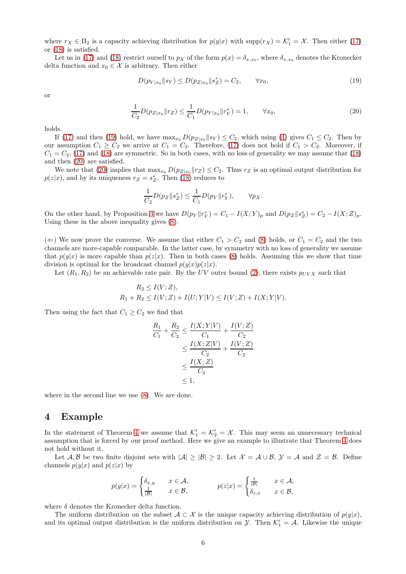where  $r_X \in \Pi_2$  is a capacity achieving distribution for  $p(y|x)$  with  $supp(r_X) = \mathcal{K}'_1 = \mathcal{X}$ . Then either [\(17\)](#page-4-4) or [\(18\)](#page-4-5) is satisfied.

Let us in [\(17\)](#page-4-4) and [\(18\)](#page-4-5) restrict ourself to  $p_X$  of the form  $p(x) = \delta_{x,x_0}$ , where  $\delta_{x,x_0}$  denotes the Kronecker delta function and  $x_0 \in \mathcal{X}$  is arbitrary. Then either

<span id="page-5-1"></span><span id="page-5-0"></span>
$$
D(p_{Y|x_0} \| s_Y) \le D(p_{Z|x_0} \| s_Z^*) = C_2, \qquad \forall x_0,
$$
\n(19)

or

$$
\frac{1}{C_2}D(p_{Z|x_0}||r_Z) \le \frac{1}{C_1}D(p_{Y|x_0}||r_Y^*) = 1, \qquad \forall x_0,
$$
\n(20)

holds.

If [\(17\)](#page-4-4) and then [\(19\)](#page-5-0) hold, we have  $\max_{x_0} D(p_{Z|x_0}||s_Y) \leq C_2$ , which using [\(4\)](#page-1-0) gives  $C_1 \leq C_2$ . Then by our assumption  $C_1 \geq C_2$  we arrive at  $C_1 = C_2$ . Therefore, [\(17\)](#page-4-4) does not hold if  $C_1 > C_2$ . Moreover, if  $C_1 = C_2$ , [\(17\)](#page-4-4) and [\(18\)](#page-4-5) are symmetric. So in both cases, with no loss of generality we may assume that (18) and then [\(20\)](#page-5-1) are satisfied.

We note that [\(20\)](#page-5-1) implies that  $\max_{x_0} D(p_{Z|x_0}||r_Z) \leq C_2$ . Thus  $r_Z$  is an optimal output distribution for  $p(z|x)$ , and by its uniqueness  $r_Z = s_Z^*$ . Then [\(18\)](#page-4-5) reduces to

$$
\frac{1}{C_2}D(p_Z \| s_Z^*) \le \frac{1}{C_1}D(p_Y \| r_Y^*), \qquad \forall p_X.
$$

On the other hand, by Proposition [3](#page-2-4) we have  $D(p_Y || r_Y^*) = C_1 - I(X;Y)_p$  and  $D(p_Z || s_Z^*) = C_2 - I(X;Z)_p$ . Using these in the above inequality gives [\(8\)](#page-3-3).

(←) We now prove the converse. We assume that either  $C_1 > C_2$  and [\(8\)](#page-3-3) holds, or  $C_1 = C_2$  and the two channels are more-capable comparable. In the latter case, by symmetry with no loss of generality we assume that  $p(y|x)$  is more capable than  $p(z|x)$ . Then in both cases [\(8\)](#page-3-3) holds. Assuming this we show that time division is optimal for the broadcast channel  $p(y|x)p(z|x)$ .

Let  $(R_1, R_2)$  be an achievable rate pair. By the UV outer bound [\(2\)](#page-0-1), there exists  $p_{UVX}$  such that

$$
R_2 \le I(V; Z),
$$
  
 
$$
R_1 + R_2 \le I(V; Z) + I(U; Y|V) \le I(V; Z) + I(X; Y|V).
$$

Then using the fact that  $C_1 \geq C_2$  we find that

$$
\frac{R_1}{C_1} + \frac{R_2}{C_2} \le \frac{I(X;Y|V)}{C_1} + \frac{I(V;Z)}{C_2} \\
\le \frac{I(X;Z|V)}{C_2} + \frac{I(V;Z)}{C_2} \\
\le \frac{I(X;Z)}{C_2} \\
\le 1,
$$

where in the second line we use [\(8\)](#page-3-3). We are done.

### 4 Example

In the statement of Theorem [4](#page-3-4) we assume that  $\mathcal{K}'_1 = \mathcal{K}'_2 = \mathcal{X}$ . This may seem an unnecessary technical assumption that is forced by our proof method. Here we give an example to illustrate that Theorem [4](#page-3-4) does not hold without it.

Let A, B be two finite disjoint sets with  $|A| \geq |B| \geq 2$ . Let  $\mathcal{X} = \mathcal{A} \cup \mathcal{B}$ ,  $\mathcal{Y} = \mathcal{A}$  and  $\mathcal{Z} = \mathcal{B}$ . Define channels  $p(y|x)$  and  $p(z|x)$  by

$$
p(y|x) = \begin{cases} \delta_{x,y} & x \in \mathcal{A}, \\ \frac{1}{|\mathcal{B}|} & x \in \mathcal{B}, \end{cases} \qquad p(z|x) = \begin{cases} \frac{1}{|\mathcal{B}|} & x \in \mathcal{A}, \\ \delta_{z,x} & x \in \mathcal{B}, \end{cases}
$$

where  $\delta$  denotes the Kronecker delta function.

The uniform distribution on the subset  $A \subset \mathcal{X}$  is the unique capacity achieving distribution of  $p(y|x)$ , and its optimal output distribution is the uniform distribution on  $\mathcal{Y}$ . Then  $\mathcal{K}'_1 = \mathcal{A}$ . Likewise the unique